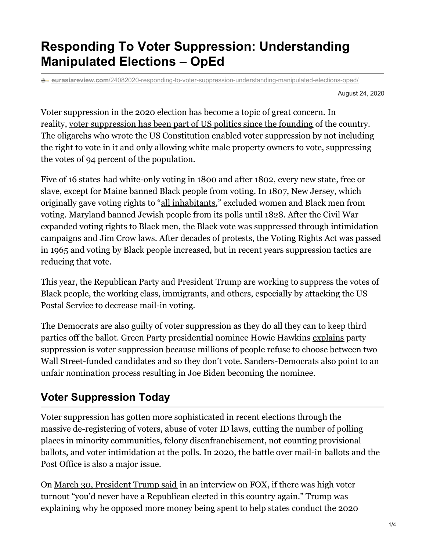## **Responding To Voter Suppression: Understanding Manipulated Elections – OpEd**

**e** eurasiareview.com[/24082020-responding-to-voter-suppression-understanding-manipulated-elections-oped/](https://www.eurasiareview.com/24082020-responding-to-voter-suppression-understanding-manipulated-elections-oped/)

August 24, 2020

Voter suppression in the 2020 election has become a topic of great concern. In reality, voter [suppression](https://popularresistance.org/voter-suppression-has-haunted-the-united-states-since-it-was-founded/) has been part of US politics since the founding of the country. The oligarchs who wrote the US Constitution enabled voter suppression by not including the right to vote in it and only allowing white male property owners to vote, suppressing the votes of 94 percent of the population.

Five of 16 [states](https://www.google.com/books/edition/The_Embattled_Vote_in_America/uIPWDwAAQBAJ?hl=en&gbpv=1&bsq=white-only voting) had white-only voting in 1800 and after 1802, [every](https://jer.pennpress.org/media/26167/sampleArt22.pdf) new state, free or slave, except for Maine banned Black people from voting. In 1807, New Jersey, which originally gave voting rights to "all [inhabitants](https://www.britannica.com/story/voting-in-the-usa)," excluded women and Black men from voting. Maryland banned Jewish people from its polls until 1828. After the Civil War expanded voting rights to Black men, the Black vote was suppressed through intimidation campaigns and Jim Crow laws. After decades of protests, the Voting Rights Act was passed in 1965 and voting by Black people increased, but in recent years suppression tactics are reducing that vote.

This year, the Republican Party and President Trump are working to suppress the votes of Black people, the working class, immigrants, and others, especially by attacking the US Postal Service to decrease mail-in voting.

The Democrats are also guilty of voter suppression as they do all they can to keep third parties off the ballot. Green Party presidential nominee Howie Hawkins [explains](https://howiehawkins.us/release-democrats-efforts-to-deny-ballot-lines-to-green-party-is-voter-suppression/) party suppression is voter suppression because millions of people refuse to choose between two Wall Street-funded candidates and so they don't vote. Sanders-Democrats also point to an unfair nomination process resulting in Joe Biden becoming the nominee.

## **Voter Suppression Today**

Voter suppression has gotten more sophisticated in recent elections through the massive de-registering of voters, abuse of voter ID laws, cutting the number of polling places in minority communities, felony disenfranchisement, not counting provisional ballots, and voter intimidation at the polls. In 2020, the battle over mail-in ballots and the Post Office is also a major issue.

On March 30, [President](https://www.washingtonpost.com/politics/2020/03/30/trump-voting-republicans/) Trump said in an interview on FOX, if there was high voter turnout "you'd never have a [Republican](https://twitter.com/JacquesCalonne/status/1244650196023173123) elected in this country again." Trump was explaining why he opposed more money being spent to help states conduct the 2020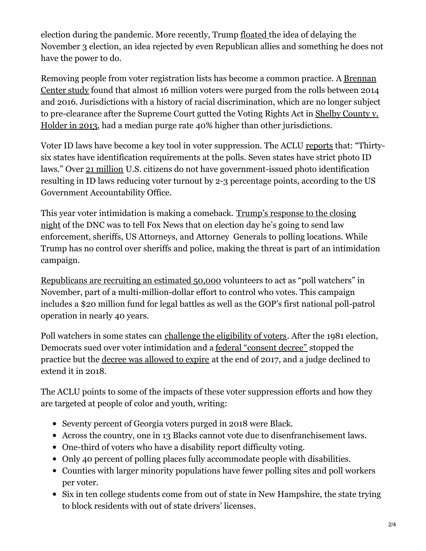election during the pandemic. More recently, Trump [floated](https://www.washingtonpost.com/politics/trump-floats-idea-of-delaying-the-november-election-as-he-ramps-up-attacks-on-voting-by-mail/2020/07/30/15fe7ac6-d264-11ea-9038-af089b63ac21_story.html?hpid=hp_hp-top-table-main_trumpelection-920am%3Ahomepage%2Fstory-ans&itid=lk_inline_manual_9) the idea of delaying the November 3 election, an idea rejected by even Republican allies and something he does not have the power to do.

Removing people from voter [registration](https://www.brennancenter.org/our-work/research-reports/purges-growing-threat-right-vote) lists has become a common practice. A Brennan Center study found that almost 16 million voters were purged from the rolls between 2014 and 2016. Jurisdictions with a history of racial discrimination, which are no longer subject to [pre-clearance](https://www.supremecourt.gov/opinions/12pdf/12-96_6k47.pdf) after the Supreme Court gutted the Voting Rights Act in Shelby County v. Holder in 2013, had a median purge rate 40% higher than other jurisdictions.

Voter ID laws have become a key tool in voter suppression. The ACLU [reports](https://www.aclu.org/news/civil-liberties/block-the-vote-voter-suppression-in-2020/) that: "Thirtysix states have identification requirements at the polls. Seven states have strict photo ID laws." Over 21 [million](https://www.aclu.org/other/oppose-voter-id-legislation-fact-sheet) U.S. citizens do not have government-issued photo identification resulting in ID laws reducing voter turnout by 2-3 percentage points, according to the US Government Accountability Office.

This year voter [intimidation](https://www.thenewcivilrightsmovement.com/2020/08/watch-trump-threatens-to-send-law-enforcement-to-polling-places-during-fox-news-interview/) is making a comeback. Trump's response to the closing night of the DNC was to tell Fox News that on election day he's going to send law enforcement, sheriffs, US Attorneys, and Attorney Generals to polling locations. While Trump has no control over sheriffs and police, making the threat is part of an intimidation campaign.

[Republicans](https://www.nbcnews.com/politics/donald-trump/gop-recruits-army-poll-watchers-fight-voter-fraud-no-can-n1217391) are recruiting an estimated 50,000 volunteers to act as "poll watchers" in November, part of a multi-million-dollar effort to control who votes. This campaign includes a \$20 million fund for legal battles as well as the GOP's first national poll-patrol operation in nearly 40 years.

Poll watchers in some states can [challenge](https://www.ncsl.org/research/elections-and-campaigns/poll-watcher-qualifications.aspx) the eligibility of voters. After the 1981 election, Democrats sued over voter intimidation and a federal ["consent](https://www.brennancenter.org/our-work/court-cases/dnc-v-rnc-consent-decree) decree" stopped the practice but the decree was [allowed](https://www.politico.com/story/2018/01/09/rnc-ballot-security-consent-decree-328995) to expire at the end of 2017, and a judge declined to extend it in 2018.

The ACLU points to some of the impacts of these voter suppression efforts and how they are targeted at people of color and youth, writing:

- Seventy percent of Georgia voters purged in 2018 were Black.
- Across the country, one in 13 Blacks cannot vote due to disenfranchisement laws.
- One-third of voters who have a disability report difficulty voting.
- Only 40 percent of polling places fully accommodate people with disabilities.
- Counties with larger minority populations have fewer polling sites and poll workers per voter.
- Six in ten college students come from out of state in New Hampshire, the state trying to block residents with out of state drivers' licenses.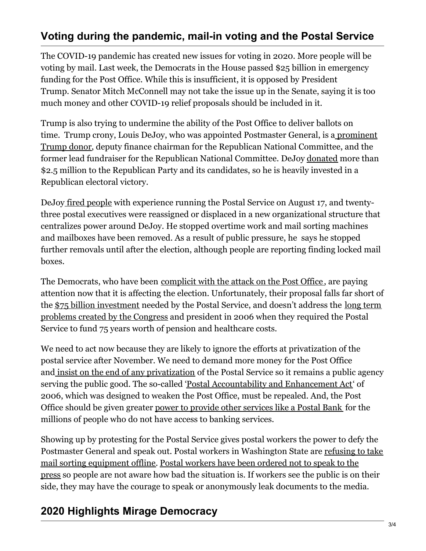## **Voting during the pandemic, mail-in voting and the Postal Service**

The COVID-19 pandemic has created new issues for voting in 2020. More people will be voting by mail. Last week, the Democrats in the House passed \$25 billion in emergency funding for the Post Office. While this is insufficient, it is opposed by President Trump. Senator Mitch McConnell may not take the issue up in the Senate, saying it is too much money and other COVID-19 relief proposals should be included in it.

Trump is also trying to undermine the ability of the Post Office to deliver ballots on time. Trump crony, Louis DeJoy, who was appointed [Postmaster](https://www.washingtonpost.com/politics/top-republican-fundraiser-and-trump-ally-to-be-named-postmaster-general-giving-president-new-influence-over-postal-service-officials-say/2020/05/06/25cde93c-8fd4-11ea-8df0-ee33c3f5b0d6_story.html) General, is a prominent Trump donor, deputy finance chairman for the Republican National Committee, and the former lead fundraiser for the Republican National Committee. DeJoy [donated](https://www.nytimes.com/2020/05/07/us/politics/postmaster-general-louis-dejoy.html) more than \$2.5 million to the Republican Party and its candidates, so he is heavily invested in a Republican electoral victory.

DeJoy fired [people](https://www.salon.com/2020/08/08/friday-night-massacre-at-us-postal-service-postmaster-general-boots-top-brass-ahead-of-election_partner/) with experience running the Postal Service on August 17, and twentythree postal executives were reassigned or displaced in a new organizational structure that centralizes power around DeJoy. He stopped overtime work and mail sorting machines and mailboxes have been removed. As a result of public pressure, he says he stopped further removals until after the election, although people are reporting finding locked mail boxes.

The Democrats, who have been [complicit](https://popularresistance.org/the-war-on-the-post-office/) with the attack on the Post Office, are paying attention now that it is affecting the election. Unfortunately, their proposal falls far short of the \$75 billion [investment](https://popularresistance.org/protect-vote-end-privatization-usps/) needed by the Postal Service, and doesn't address the long term problems created by the Congress and president in 2006 when they required the Postal Service to fund 75 years worth of pension and healthcare costs.

We need to act now because they are likely to ignore the efforts at privatization of the postal service after November. We need to demand more money for the Post Office and insist on the end of any [privatization](https://popularresistance.org/protect-vote-end-privatization-usps/) of the Postal Service so it remains a public agency serving the public good. The so-called 'Postal [Accountability](https://www.wsws.org/en/articles/2020/08/15/demo-a15.html) and Enhancement Act' of 2006, which was designed to weaken the Post Office, must be repealed. And, the Post Office should be given greater power to provide other [services](https://popularresistance.org/dont-shrink-the-us-postal-service-expand-it/) like a Postal Bank for the millions of people who do not have access to banking services.

Showing up by protesting for the Postal Service gives postal workers the power to defy the Postmaster General and speak out. Postal workers in [Washington](https://popularresistance.org/postal-workers-defy-order-to-not-restart-sorting-machines/) State are refusing to take mail sorting [equipment](https://popularresistance.org/us-postal-service-employees-ordered-not-to-speak-to-press/) offline. Postal workers have been ordered not to speak to the press so people are not aware how bad the situation is. If workers see the public is on their side, they may have the courage to speak or anonymously leak documents to the media.

## **2020 Highlights Mirage Democracy**